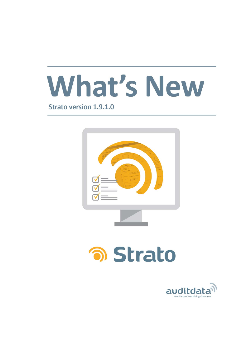

**Strato version 1.9.1.0** 



# **อา Strato**

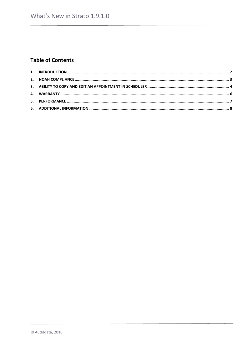# **Table of Contents**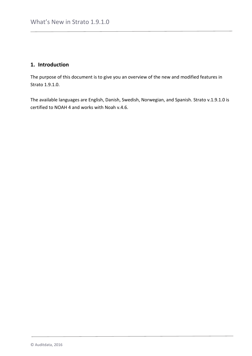#### <span id="page-2-0"></span>**1. Introduction**

The purpose of this document is to give you an overview of the new and modified features in Strato 1.9.1.0.

The available languages are English, Danish, Swedish, Norwegian, and Spanish. Strato v.1.9.1.0 is certified to NOAH 4 and works with Noah v.4.6.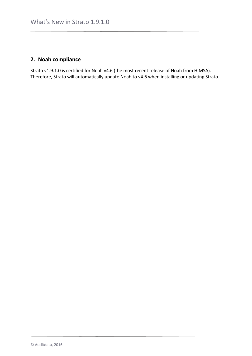## <span id="page-3-0"></span>**2. Noah compliance**

Strato v1.9.1.0 is certified for Noah v4.6 (the most recent release of Noah from HIMSA). Therefore, Strato will automatically update Noah to v4.6 when installing or updating Strato.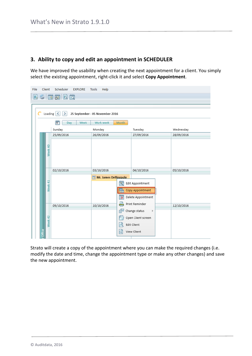#### <span id="page-4-0"></span>**3. Ability to copy and edit an appointment in SCHEDULER**

We have improved the usability when creating the next appointment for a client. You simply select the existing appointment, right-click it and select **Copy Appointment**.

| File |               | Client  | Scheduler<br><b>EXPLORE</b>   | <b>Tools</b><br>Help            |                         |                    |            |
|------|---------------|---------|-------------------------------|---------------------------------|-------------------------|--------------------|------------|
| 輵    |               |         | 画图图面                          |                                 |                         |                    |            |
|      |               |         |                               |                                 |                         |                    |            |
|      |               |         |                               |                                 |                         |                    |            |
|      |               | Loading | ≺<br>⋗                        | 25 September - 05 November 2016 |                         |                    |            |
|      |               |         | $\overline{6}$<br>Week<br>Day | Work week                       | <b>Month</b>            |                    |            |
|      |               |         | Sunday                        | Monday                          |                         | Tuesday            | Wednesday  |
|      |               |         | 25/09/2016                    | 26/09/2016                      |                         | 27/09/2016         | 28/09/2016 |
|      |               |         |                               |                                 |                         |                    |            |
|      |               | Week 40 |                               |                                 |                         |                    |            |
|      |               |         |                               |                                 |                         |                    |            |
|      |               |         |                               |                                 |                         |                    |            |
|      |               |         | 02/10/2016                    | 03/10/2016                      |                         | 04/10/2016         | 05/10/2016 |
|      |               |         |                               | Mr. James Dellingpole           |                         |                    |            |
|      |               | Week 41 |                               |                                 | $\overline{\mathbf{x}}$ | Edit Appointment   |            |
|      |               |         |                               |                                 |                         | Copy Appointment   |            |
|      |               |         |                               |                                 | $\mathbf{\bar{x}}$      | Delete Appointment |            |
|      |               |         | 09/10/2016                    | 10/10/2016                      |                         | Print Reminder     | 12/10/2016 |
|      |               |         |                               |                                 | É                       | Change status<br>þ |            |
|      |               |         |                               |                                 |                         | Open Client screen |            |
|      |               | Week 42 |                               |                                 | ನ                       | Edit Client        |            |
|      | <b>Office</b> |         |                               |                                 | ΙQΪ                     | View Client        |            |
|      |               |         |                               |                                 |                         |                    |            |

Strato will create a copy of the appointment where you can make the required changes (i.e. modify the date and time, change the appointment type or make any other changes) and save the new appointment.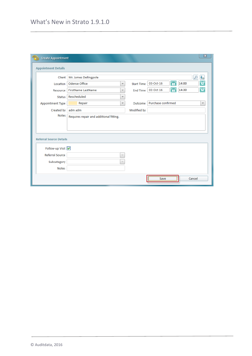| <b>Create Appointment</b>      |                                                      |                   |                         | 窓                       |
|--------------------------------|------------------------------------------------------|-------------------|-------------------------|-------------------------|
| <b>Appointment Details</b>     |                                                      |                   |                         |                         |
| <b>Client</b>                  | Mr. James Dellingpole                                |                   |                         | 韦<br>ρ                  |
| Location                       | <b>Odense Office</b><br>$\overline{\mathbf{v}}$      | <b>Start Time</b> | 骨<br>14:00<br>03-Oct-16 | e                       |
| Resource                       | <b>FirstName LastName</b><br>$\overline{\mathbf{v}}$ | End Time          | 愩<br>14:30<br>03-Oct-16 | $\bigoplus$             |
| <b>Status</b>                  | Rescheduled<br>$\overline{\mathbf{v}}$               |                   |                         |                         |
| <b>Appointment Type</b>        | Repair<br>$\overline{\mathbf{v}}$                    | Outcome           | Purchase confirmed      | $\overline{\mathbf{v}}$ |
| Created by                     | adm adm                                              | Modified by       |                         |                         |
| <b>Notes</b>                   | Requires repair and additional fitting.              |                   |                         |                         |
|                                |                                                      |                   |                         |                         |
|                                |                                                      |                   |                         |                         |
| <b>Referral Source Details</b> |                                                      |                   |                         |                         |
|                                |                                                      |                   |                         |                         |
| Follow-up Visit                |                                                      |                   |                         |                         |
| Referral Source                | $\overline{\phantom{a}}$                             |                   |                         |                         |
| Subcategory                    | $\overline{\mathcal{L}}$                             |                   |                         |                         |
| <b>Notes</b>                   |                                                      |                   |                         |                         |
|                                |                                                      |                   | Save                    | Cancel                  |
|                                |                                                      |                   |                         |                         |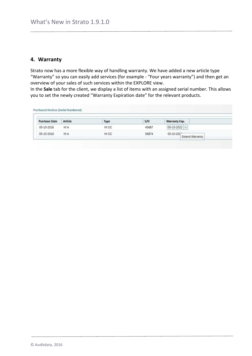#### <span id="page-6-0"></span>**4. Warranty**

Strato now has a more flexible way of handling warranty. We have added a new article type "Warranty" so you can easily add services (for example - "Four years warranty") and then get an overview of your sales of such services within the EXPLORE view.

In the **Sale** tab for the client, we display a list of items with an assigned serial number. This allows you to set the newly created "Warranty Expiration date" for the relevant products.

| <b>Purchase Date</b> | Article    | <b>Type</b> | S/N   | Warranty Exp.                       |
|----------------------|------------|-------------|-------|-------------------------------------|
| 05-10-2016           | <b>HIA</b> | HI CIC      | 45687 | $05-10-2022$ =                      |
| 05-10-2016           | <b>HIA</b> | HI CIC      | 56874 | 05-10-202<br><b>Extend Warranty</b> |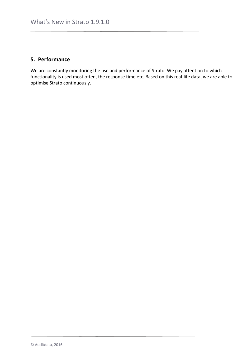## <span id="page-7-0"></span>**5. Performance**

We are constantly monitoring the use and performance of Strato. We pay attention to which functionality is used most often, the response time etc. Based on this real-life data, we are able to optimise Strato continuously.